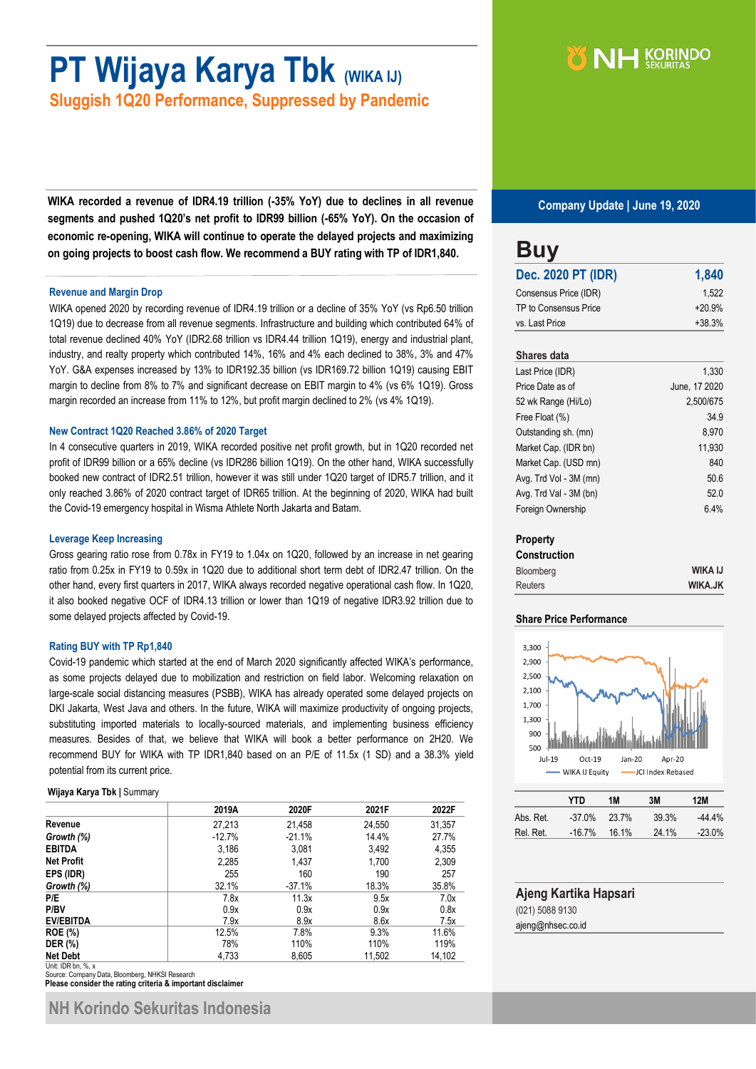# **PT Wijaya Karya Tbk (WIKA IJ)**

**Sluggish 1Q20 Performance, Suppressed by Pandemic**

**WIKA recorded a revenue of IDR4.19 trillion (-35% YoY) due to declines in all revenue segments and pushed 1Q20's net profit to IDR99 billion (-65% YoY). On the occasion of economic re-opening, WIKA will continue to operate the delayed projects and maximizing on going projects to boost cash flow. We recommend a BUY rating with TP of IDR1,840.**

#### **Revenue and Margin Drop**

WIKA opened 2020 by recording revenue of IDR4.19 trillion or a decline of 35% YoY (vs Rp6.50 trillion 1Q19) due to decrease from all revenue segments. Infrastructure and building which contributed 64% of total revenue declined 40% YoY (IDR2.68 trillion vs IDR4.44 trillion 1Q19), energy and industrial plant, industry, and realty property which contributed 14%, 16% and 4% each declined to 38%, 3% and 47% YoY. G&A expenses increased by 13% to IDR192.35 billion (vs IDR169.72 billion 1Q19) causing EBIT margin to decline from 8% to 7% and significant decrease on EBIT margin to 4% (vs 6% 1Q19). Gross margin recorded an increase from 11% to 12%, but profit margin declined to 2% (vs 4% 1Q19).

#### **New Contract 1Q20 Reached 3.86% of 2020 Target**

In 4 consecutive quarters in 2019, WIKA recorded positive net profit growth, but in 1Q20 recorded net profit of IDR99 billion or a 65% decline (vs IDR286 billion 1Q19). On the other hand, WIKA successfully booked new contract of IDR2.51 trillion, however it was still under 1Q20 target of IDR5.7 trillion, and it only reached 3.86% of 2020 contract target of IDR65 trillion. At the beginning of 2020, WIKA had built the Covid-19 emergency hospital in Wisma Athlete North Jakarta and Batam.

#### **Leverage Keep Increasing**

Gross gearing ratio rose from 0.78x in FY19 to 1.04x on 1Q20, followed by an increase in net gearing ratio from 0.25x in FY19 to 0.59x in 1Q20 due to additional short term debt of IDR2.47 trillion. On the other hand, every first quarters in 2017, WIKA always recorded negative operational cash flow. In 1Q20, it also booked negative OCF of IDR4.13 trillion or lower than 1Q19 of negative IDR3.92 trillion due to some delayed projects affected by Covid-19.

#### **Rating BUY with TP Rp1,840**

Covid-19 pandemic which started at the end of March 2020 significantly affected WIKA's performance, as some projects delayed due to mobilization and restriction on field labor. Welcoming relaxation on large-scale social distancing measures (PSBB), WIKA has already operated some delayed projects on DKI Jakarta, West Java and others. In the future, WIKA will maximize productivity of ongoing projects, substituting imported materials to locally-sourced materials, and implementing business efficiency measures. Besides of that, we believe that WIKA will book a better performance on 2H20. We recommend BUY for WIKA with TP IDR1,840 based on an P/E of 11.5x (1 SD) and a 38.3% yield potential from its current price.

#### **Wijaya Karya Tbk |** Summary

|                    | 2019A    | 2020F    | 2021F  | 2022F  |
|--------------------|----------|----------|--------|--------|
| Revenue            | 27,213   | 21,458   | 24,550 | 31,357 |
| Growth (%)         | $-12.7%$ | $-21.1%$ | 14.4%  | 27.7%  |
| <b>EBITDA</b>      | 3,186    | 3,081    | 3,492  | 4,355  |
| <b>Net Profit</b>  | 2,285    | 1,437    | 1,700  | 2,309  |
| EPS (IDR)          | 255      | 160      | 190    | 257    |
| Growth (%)         | 32.1%    | $-37.1%$ | 18.3%  | 35.8%  |
| P/E                | 7.8x     | 11.3x    | 9.5x   | 7.0x   |
| P/BV               | 0.9x     | 0.9x     | 0.9x   | 0.8x   |
| <b>EV/EBITDA</b>   | 7.9x     | 8.9x     | 8.6x   | 7.5x   |
| <b>ROE</b> (%)     | 12.5%    | 7.8%     | 9.3%   | 11.6%  |
| <b>DER</b> (%)     | 78%      | 110%     | 110%   | 119%   |
| <b>Net Debt</b>    | 4,733    | 8,605    | 11,502 | 14,102 |
| Unit: IDR bn, %, x |          |          |        |        |

Source: Company Data, Bloomberg, NHKSI Research<br>**Please consider the rating criteria & important disclaimer** 

## NH KORINDO

**Company Update | June 19, 2020**

| 1,840    |
|----------|
| 1.522    |
| $+20.9%$ |
| $+38.3%$ |
|          |

#### **Shares data**

| Last Price (IDR)       | 1.330         |
|------------------------|---------------|
| Price Date as of       | June, 17 2020 |
| 52 wk Range (Hi/Lo)    | 2,500/675     |
| Free Float (%)         | 34.9          |
| Outstanding sh. (mn)   | 8,970         |
| Market Cap. (IDR bn)   | 11,930        |
| Market Cap. (USD mn)   | 840           |
| Avg. Trd Vol - 3M (mn) | 50.6          |
| Avg. Trd Val - 3M (bn) | 52.0          |
| Foreign Ownership      | 6.4%          |

#### **Property**

| <b>Construction</b> |                |
|---------------------|----------------|
| <b>Bloomberg</b>    | <b>WIKA IJ</b> |
| <b>Reuters</b>      | <b>WIKA.JK</b> |

#### **Share Price Performance**



|           | YTN       | 1M                | 3M    | 12M       |
|-----------|-----------|-------------------|-------|-----------|
| Abs. Ret. | $-37.0\%$ | 23.7 <sup>%</sup> | 39.3% | $-44.4\%$ |
| Rel. Ret. | $-16.7%$  | 16.1%             | 24.1% | $-23.0\%$ |

|                 | Ajeng Kartika Hapsari |
|-----------------|-----------------------|
| (021) 5088 9130 |                       |

ajeng@nhsec.co.id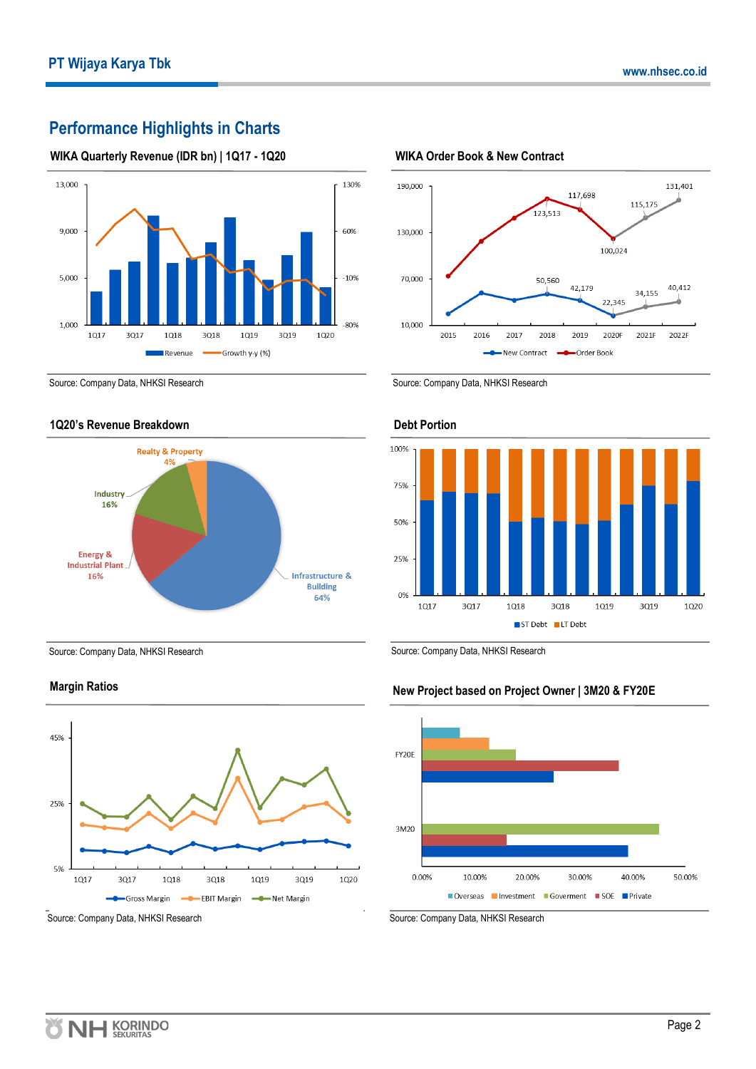### **Performance Highlights in Charts**

#### **WIKA Quarterly Revenue (IDR bn) | 1Q17 - 1Q20**



Source: Company Data, NHKSI Research

#### **1Q20's Revenue Breakdown**



Source: Company Data, NHKSI Research

#### **Margin Ratios**



Source: Company Data, NHKSI Research



**WIKA Order Book & New Contract** 

#### Source: Company Data, NHKSI Research



#### **Debt Portion**

Source: Company Data, NHKSI Research

#### **New Project based on Project Owner | 3M20 & FY20E**



Source: Company Data, NHKSI Research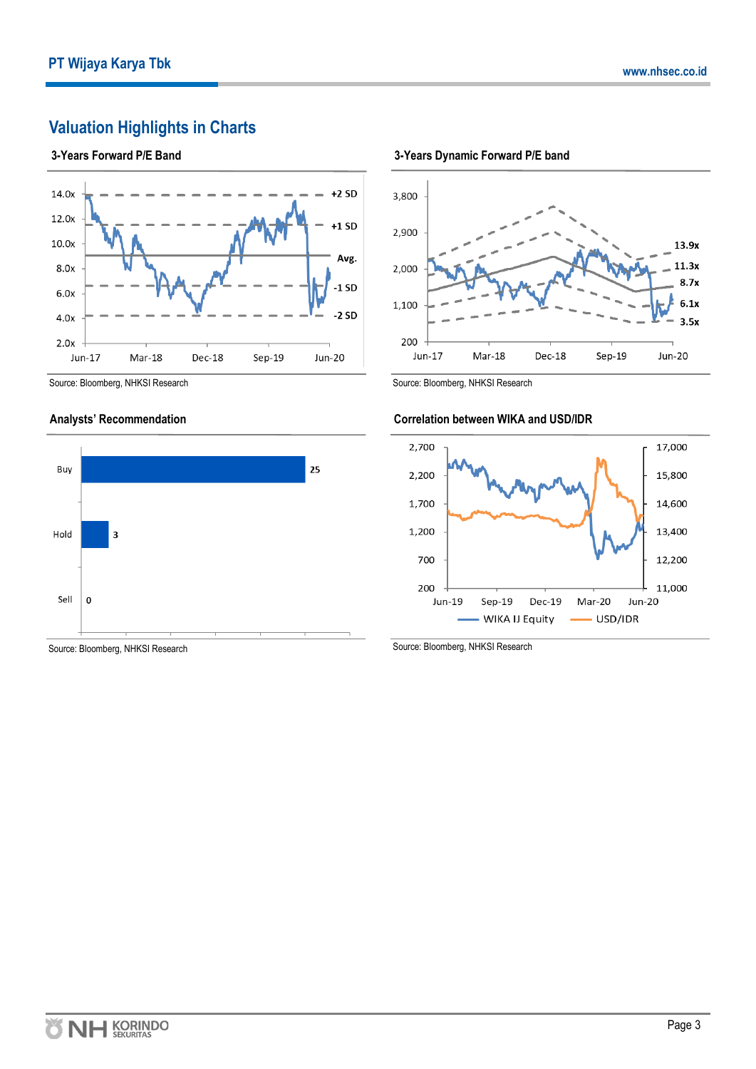### **Valuation Highlights in Charts**

#### **3-Years Forward P/E Band**





#### **Analysts' Recommendation**



Source: Bloomberg, NHKSI Research



Dec-18

Sep-19



Jun-17

#### **Correlation between WIKA and USD/IDR**

Mar-18



Source: Bloomberg, NHKSI Research

Source: Bloomberg, NHKSI Research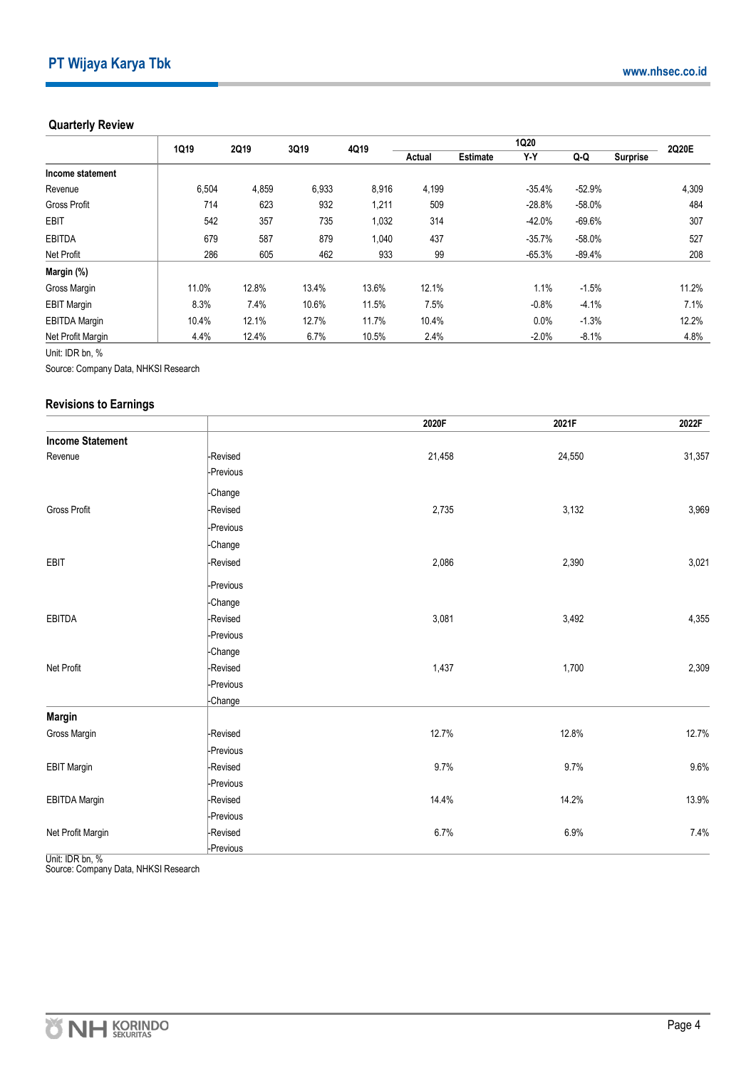#### **Quarterly Review**

|                      | 1Q19  | 2Q19  | 3Q19  | 4Q19  |        |                 | 1Q20     |          |                 | 2Q20E |
|----------------------|-------|-------|-------|-------|--------|-----------------|----------|----------|-----------------|-------|
|                      |       |       |       |       | Actual | <b>Estimate</b> | Y-Y      | Q Q      | <b>Surprise</b> |       |
| Income statement     |       |       |       |       |        |                 |          |          |                 |       |
| Revenue              | 6,504 | 4,859 | 6,933 | 8,916 | 4,199  |                 | $-35.4%$ | $-52.9%$ |                 | 4,309 |
| <b>Gross Profit</b>  | 714   | 623   | 932   | 1,211 | 509    |                 | $-28.8%$ | $-58.0%$ |                 | 484   |
| <b>EBIT</b>          | 542   | 357   | 735   | 1,032 | 314    |                 | $-42.0%$ | $-69.6%$ |                 | 307   |
| <b>EBITDA</b>        | 679   | 587   | 879   | 1,040 | 437    |                 | $-35.7%$ | $-58.0%$ |                 | 527   |
| Net Profit           | 286   | 605   | 462   | 933   | 99     |                 | $-65.3%$ | $-89.4%$ |                 | 208   |
| Margin (%)           |       |       |       |       |        |                 |          |          |                 |       |
| Gross Margin         | 11.0% | 12.8% | 13.4% | 13.6% | 12.1%  |                 | 1.1%     | $-1.5%$  |                 | 11.2% |
| <b>EBIT Margin</b>   | 8.3%  | 7.4%  | 10.6% | 11.5% | 7.5%   |                 | $-0.8%$  | $-4.1%$  |                 | 7.1%  |
| <b>EBITDA Margin</b> | 10.4% | 12.1% | 12.7% | 11.7% | 10.4%  |                 | 0.0%     | $-1.3%$  |                 | 12.2% |
| Net Profit Margin    | 4.4%  | 12.4% | 6.7%  | 10.5% | 2.4%   |                 | $-2.0%$  | $-8.1%$  |                 | 4.8%  |

Unit: IDR bn, %

Source: Company Data, NHKSI Research

#### **Revisions to Earnings**

|                         |           | 2020F  | 2021F  | 2022F  |
|-------------------------|-----------|--------|--------|--------|
| <b>Income Statement</b> |           |        |        |        |
| Revenue                 | -Revised  | 21,458 | 24,550 | 31,357 |
|                         | -Previous |        |        |        |
|                         | -Change   |        |        |        |
| Gross Profit            | -Revised  | 2,735  | 3,132  | 3,969  |
|                         | -Previous |        |        |        |
|                         | -Change   |        |        |        |
| EBIT                    | -Revised  | 2,086  | 2,390  | 3,021  |
|                         | -Previous |        |        |        |
|                         | -Change   |        |        |        |
| <b>EBITDA</b>           | -Revised  | 3,081  | 3,492  | 4,355  |
|                         | -Previous |        |        |        |
|                         | -Change   |        |        |        |
| Net Profit              | -Revised  | 1,437  | 1,700  | 2,309  |
|                         | -Previous |        |        |        |
|                         | -Change   |        |        |        |
| <b>Margin</b>           |           |        |        |        |
| Gross Margin            | -Revised  | 12.7%  | 12.8%  | 12.7%  |
|                         | -Previous |        |        |        |
| <b>EBIT Margin</b>      | -Revised  | 9.7%   | 9.7%   | 9.6%   |
|                         | -Previous |        |        |        |
| <b>EBITDA Margin</b>    | -Revised  | 14.4%  | 14.2%  | 13.9%  |
|                         | -Previous |        |        |        |
| Net Profit Margin       | -Revised  | 6.7%   | 6.9%   | 7.4%   |
|                         | -Previous |        |        |        |

Unit: IDR bn, %<br>Source: Company Data, NHKSI Research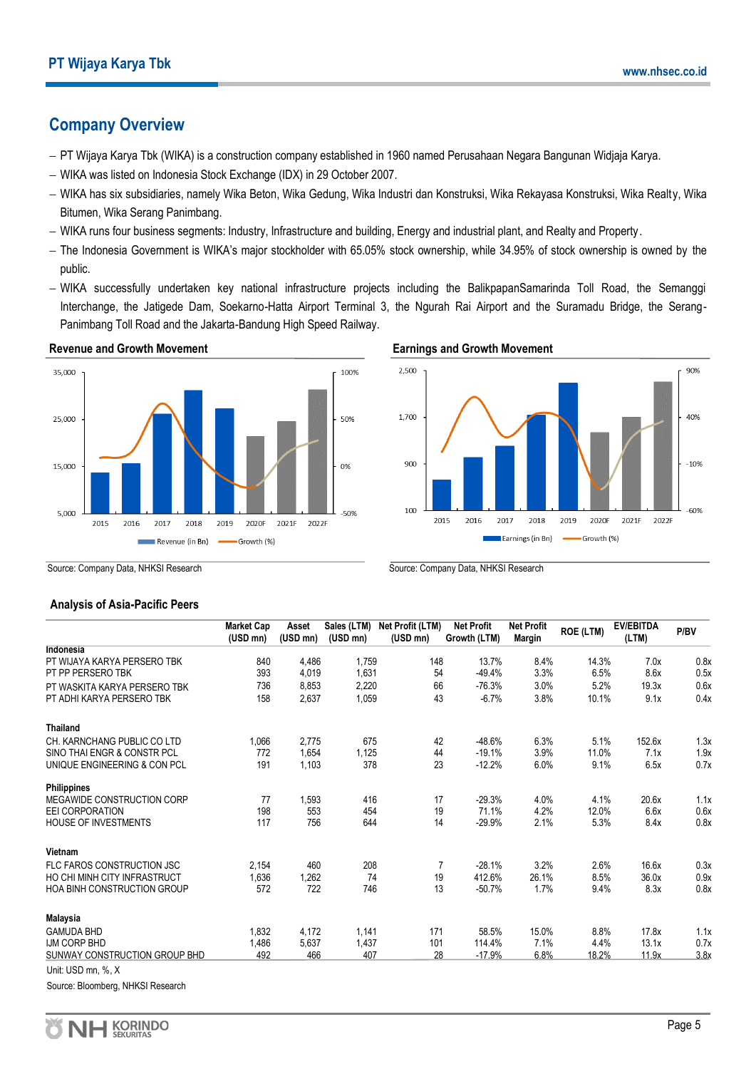### **Company Overview**

- − PT Wijaya Karya Tbk (WIKA) is a construction company established in 1960 named Perusahaan Negara Bangunan Widjaja Karya.
- − WIKA was listed on Indonesia Stock Exchange (IDX) in 29 October 2007.
- − WIKA has six subsidiaries, namely Wika Beton, Wika Gedung, Wika Industri dan Konstruksi, Wika Rekayasa Konstruksi, Wika Realty, Wika Bitumen, Wika Serang Panimbang.
- − WIKA runs four business segments: Industry, Infrastructure and building, Energy and industrial plant, and Realty and Property.
- − The Indonesia Government is WIKA's major stockholder with 65.05% stock ownership, while 34.95% of stock ownership is owned by the public.
- − WIKA successfully undertaken key national infrastructure projects including the BalikpapanSamarinda Toll Road, the Semanggi Interchange, the Jatigede Dam, Soekarno-Hatta Airport Terminal 3, the Ngurah Rai Airport and the Suramadu Bridge, the Serang-Panimbang Toll Road and the Jakarta-Bandung High Speed Railway.



#### **Earnings and Growth Movement**



Source: Company Data, NHKSI Research

### Source: Company Data, NHKSI Research

#### **Analysis of Asia-Pacific Peers**

|                                    | <b>Market Cap</b><br>(USD mn) | Asset<br>(USD mn) | Sales (LTM)<br>$(USD\ mn)$ | Net Profit (LTM)<br>(USD mn) | <b>Net Profit</b><br>Growth (LTM) | <b>Net Profit</b><br><b>Margin</b> | <b>ROE (LTM)</b> | <b>EV/EBITDA</b><br>(LTM) | P/BV |
|------------------------------------|-------------------------------|-------------------|----------------------------|------------------------------|-----------------------------------|------------------------------------|------------------|---------------------------|------|
| Indonesia                          |                               |                   |                            |                              |                                   |                                    |                  |                           |      |
| PT WIJAYA KARYA PERSERO TBK        | 840                           | 4,486             | 1,759                      | 148                          | 13.7%                             | 8.4%                               | 14.3%            | 7.0x                      | 0.8x |
| PT PP PERSERO TBK                  | 393                           | 4,019             | 1,631                      | 54                           | $-49.4%$                          | 3.3%                               | 6.5%             | 8.6x                      | 0.5x |
| PT WASKITA KARYA PERSERO TBK       | 736                           | 8,853             | 2,220                      | 66                           | $-76.3%$                          | 3.0%                               | 5.2%             | 19.3x                     | 0.6x |
| PT ADHI KARYA PERSERO TBK          | 158                           | 2,637             | 1,059                      | 43                           | $-6.7%$                           | 3.8%                               | 10.1%            | 9.1x                      | 0.4x |
| <b>Thailand</b>                    |                               |                   |                            |                              |                                   |                                    |                  |                           |      |
| CH. KARNCHANG PUBLIC CO LTD        | 1,066                         | 2.775             | 675                        | 42                           | $-48.6%$                          | 6.3%                               | 5.1%             | 152.6x                    | 1.3x |
| SINO THAI ENGR & CONSTR PCL        | 772                           | 1,654             | 1,125                      | 44                           | $-19.1%$                          | 3.9%                               | 11.0%            | 7.1x                      | 1.9x |
| UNIQUE ENGINEERING & CON PCL       | 191                           | 1,103             | 378                        | 23                           | $-12.2%$                          | 6.0%                               | 9.1%             | 6.5x                      | 0.7x |
| <b>Philippines</b>                 |                               |                   |                            |                              |                                   |                                    |                  |                           |      |
| MEGAWIDE CONSTRUCTION CORP         | 77                            | 1,593             | 416                        | 17                           | $-29.3%$                          | 4.0%                               | 4.1%             | 20.6x                     | 1.1x |
| <b>EEI CORPORATION</b>             | 198                           | 553               | 454                        | 19                           | 71.1%                             | 4.2%                               | 12.0%            | 6.6x                      | 0.6x |
| <b>HOUSE OF INVESTMENTS</b>        | 117                           | 756               | 644                        | 14                           | $-29.9%$                          | 2.1%                               | 5.3%             | 8.4x                      | 0.8x |
| Vietnam                            |                               |                   |                            |                              |                                   |                                    |                  |                           |      |
| FLC FAROS CONSTRUCTION JSC         | 2,154                         | 460               | 208                        | 7                            | $-28.1%$                          | 3.2%                               | 2.6%             | 16.6x                     | 0.3x |
| HO CHI MINH CITY INFRASTRUCT       | 1,636                         | 1,262             | 74                         | 19                           | 412.6%                            | 26.1%                              | 8.5%             | 36.0x                     | 0.9x |
| <b>HOA BINH CONSTRUCTION GROUP</b> | 572                           | 722               | 746                        | 13                           | $-50.7%$                          | 1.7%                               | 9.4%             | 8.3x                      | 0.8x |
| Malaysia                           |                               |                   |                            |                              |                                   |                                    |                  |                           |      |
| <b>GAMUDA BHD</b>                  | 1,832                         | 4,172             | 1,141                      | 171                          | 58.5%                             | 15.0%                              | 8.8%             | 17.8x                     | 1.1x |
| IJM CORP BHD                       | 1,486                         | 5,637             | 1,437                      | 101                          | 114.4%                            | 7.1%                               | 4.4%             | 13.1x                     | 0.7x |
| SUNWAY CONSTRUCTION GROUP BHD      | 492                           | 466               | 407                        | 28                           | $-17.9%$                          | 6.8%                               | 18.2%            | 11.9x                     | 3.8x |
| Unit: USD mn, %, X                 |                               |                   |                            |                              |                                   |                                    |                  |                           |      |

Source: Bloomberg, NHKSI Research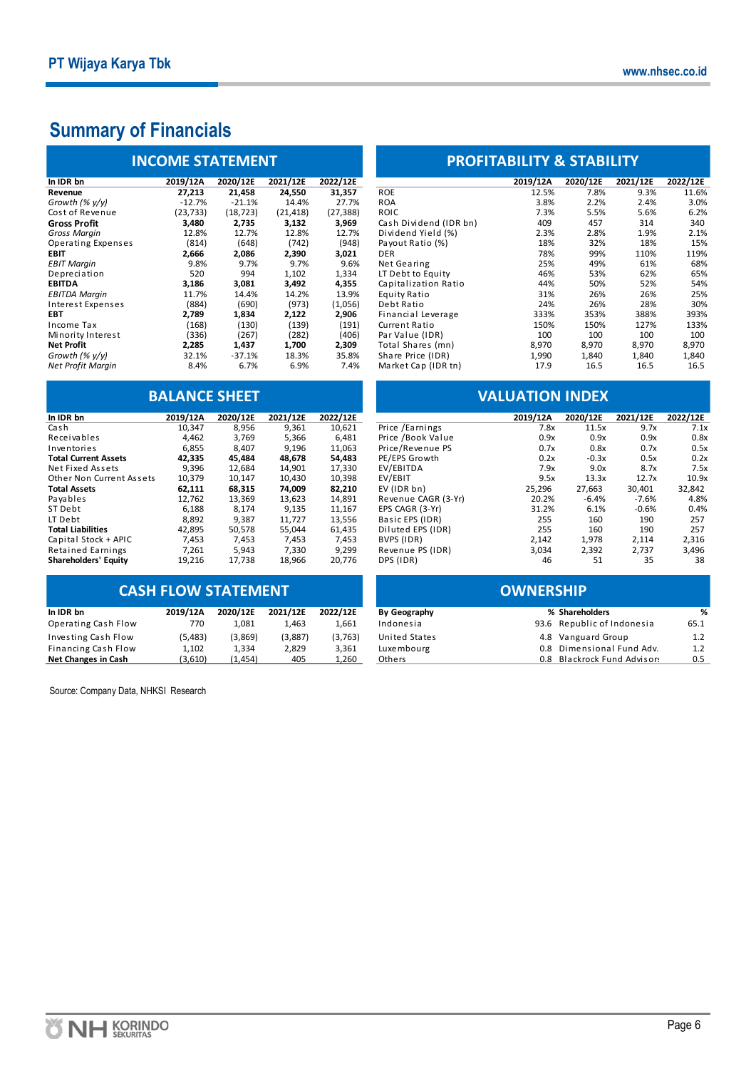## **Summary of Financials**

| <b>INCOME STATEMENT</b>   |           |           |           |           |  |  |  |  |
|---------------------------|-----------|-----------|-----------|-----------|--|--|--|--|
| In IDR bn                 | 2019/12A  | 2020/12E  | 2021/12E  | 2022/12E  |  |  |  |  |
| Revenue                   | 27,213    | 21,458    | 24,550    | 31,357    |  |  |  |  |
| Growth (% y/y)            | $-12.7%$  | $-21.1%$  | 14.4%     | 27.7%     |  |  |  |  |
| Cost of Revenue           | (23, 733) | (18, 723) | (21, 418) | (27, 388) |  |  |  |  |
| Gross Profit              | 3.480     | 2,735     | 3,132     | 3,969     |  |  |  |  |
| Gross Margin              | 12.8%     | 12.7%     | 12.8%     | 12.7%     |  |  |  |  |
| <b>Operating Expenses</b> | (814)     | (648)     | (742)     | (948)     |  |  |  |  |
| <b>EBIT</b>               | 2,666     | 2,086     | 2,390     | 3,021     |  |  |  |  |
| <b>EBIT Margin</b>        | 9.8%      | 9.7%      | 9.7%      | 9.6%      |  |  |  |  |
| Depreciation              | 520       | 994       | 1.102     | 1,334     |  |  |  |  |
| <b>EBITDA</b>             | 3,186     | 3,081     | 3,492     | 4,355     |  |  |  |  |
| <b>EBITDA Margin</b>      | 11.7%     | 14.4%     | 14.2%     | 13.9%     |  |  |  |  |
| Interest Expenses         | (884)     | (690)     | (973)     | (1,056)   |  |  |  |  |
| EBT                       | 2,789     | 1,834     | 2,122     | 2,906     |  |  |  |  |
| <b>Income Tax</b>         | (168)     | (130)     | (139)     | (191)     |  |  |  |  |
| Minority Interest         | (336)     | (267)     | (282)     | (406)     |  |  |  |  |
| <b>Net Profit</b>         | 2,285     | 1,437     | 1,700     | 2,309     |  |  |  |  |
| Growth (% $v/v$ )         | 32.1%     | $-37.1%$  | 18.3%     | 35.8%     |  |  |  |  |
| Net Profit Margin         | 8.4%      | 6.7%      | 6.9%      | 7.4%      |  |  |  |  |

| In IDR bn                   | 2019/12A | 2020/12E | 2021/12E | 2022/12E |
|-----------------------------|----------|----------|----------|----------|
| Cash                        | 10.347   | 8.956    | 9.361    | 10.621   |
| Receivables                 | 4,462    | 3,769    | 5,366    | 6,481    |
| Inventories                 | 6,855    | 8.407    | 9,196    | 11,063   |
| <b>Total Current Assets</b> | 42.335   | 45.484   | 48.678   | 54.483   |
| Net Fixed Assets            | 9,396    | 12,684   | 14,901   | 17,330   |
| Other Non Current Assets    | 10.379   | 10.147   | 10.430   | 10.398   |
| <b>Total Assets</b>         | 62,111   | 68,315   | 74,009   | 82,210   |
| Payables                    | 12.762   | 13.369   | 13.623   | 14.891   |
| ST Debt                     | 6.188    | 8.174    | 9.135    | 11.167   |
| LT Debt                     | 8,892    | 9,387    | 11,727   | 13,556   |
| <b>Total Liabilities</b>    | 42.895   | 50.578   | 55.044   | 61,435   |
| Capital Stock + APIC        | 7.453    | 7.453    | 7.453    | 7.453    |
| <b>Retained Earnings</b>    | 7.261    | 5.943    | 7.330    | 9,299    |
| <b>Shareholders' Equity</b> | 19,216   | 17,738   | 18,966   | 20,776   |

### **CASH FLOW STATEMENT**

| In IDR bn           | 2019/12A | 2020/12E | 2021/12E | 2022/12E |
|---------------------|----------|----------|----------|----------|
| Operating Cash Flow | 770      | 1.081    | 1.463    | 1.661    |
| Investing Cash Flow | (5,483)  | (3,869)  | (3,887)  | (3,763)  |
| Financing Cash Flow | 1.102    | 1.334    | 2.829    | 3.361    |
| Net Changes in Cash | (3,610)  | (1.454)  | 405      | 1.260    |

Source: Company Data, NHKSI Research

### **PROFITABILITY & STABILITY**

| 2019/12A  | 2020/12E  | 2021/12E  | 2022/12E  |                        | 2019/12A | 2020/12E | 2021/12E | 2022/12E |
|-----------|-----------|-----------|-----------|------------------------|----------|----------|----------|----------|
| 27,213    | 21,458    | 24,550    | 31,357    | <b>ROE</b>             | 12.5%    | 7.8%     | 9.3%     | 11.6%    |
| $-12.7%$  | $-21.1%$  | 14.4%     | 27.7%     | <b>ROA</b>             | 3.8%     | 2.2%     | 2.4%     | 3.0%     |
| (23, 733) | (18, 723) | (21, 418) | (27, 388) | <b>ROIC</b>            | 7.3%     | 5.5%     | 5.6%     | 6.2%     |
| 3,480     | 2,735     | 3,132     | 3,969     | Cash Dividend (IDR bn) | 409      | 457      | 314      | 340      |
| 12.8%     | 12.7%     | 12.8%     | 12.7%     | Dividend Yield (%)     | 2.3%     | 2.8%     | 1.9%     | 2.1%     |
| (814)     | (648)     | (742)     | (948)     | Payout Ratio (%)       | 18%      | 32%      | 18%      | 15%      |
| 2,666     | 2,086     | 2,390     | 3,021     | DER                    | 78%      | 99%      | 110%     | 119%     |
| 9.8%      | 9.7%      | 9.7%      | 9.6%      | Net Gearing            | 25%      | 49%      | 61%      | 68%      |
| 520       | 994       | 1,102     | 1,334     | LT Debt to Equity      | 46%      | 53%      | 62%      | 65%      |
| 3,186     | 3,081     | 3,492     | 4,355     | Capitalization Ratio   | 44%      | 50%      | 52%      | 54%      |
| 11.7%     | 14.4%     | 14.2%     | 13.9%     | Equity Ratio           | 31%      | 26%      | 26%      | 25%      |
| (884)     | (690)     | (973)     | (1,056)   | Debt Ratio             | 24%      | 26%      | 28%      | 30%      |
| 2,789     | 1,834     | 2,122     | 2,906     | Financial Leverage     | 333%     | 353%     | 388%     | 393%     |
| (168)     | (130)     | (139)     | (191)     | Current Ratio          | 150%     | 150%     | 127%     | 133%     |
| (336)     | (267)     | (282)     | (406)     | Par Value (IDR)        | 100      | 100      | 100      | 100      |
| 2,285     | 1,437     | 1,700     | 2,309     | Total Shares (mn)      | 8,970    | 8,970    | 8,970    | 8,970    |
| 32.1%     | $-37.1%$  | 18.3%     | 35.8%     | Share Price (IDR)      | 1,990    | 1,840    | 1,840    | 1,840    |
| 8.4%      | 6.7%      | 6.9%      | 7.4%      | Market Cap (IDR tn)    | 17.9     | 16.5     | 16.5     | 16.5     |
|           |           |           |           |                        |          |          |          |          |

### **BALANCE SHEET VALUATION INDEX**

| In IDR bn                | 2019/12A | 2020/12E | 2021/12E | 2022/12E |                     | 2019/12A | 2020/12E | 2021/12E | 2022/12E |
|--------------------------|----------|----------|----------|----------|---------------------|----------|----------|----------|----------|
| Cash                     | 10.347   | 8,956    | 9,361    | 10,621   | Price / Earnings    | 7.8x     | 11.5x    | 9.7x     | 7.1x     |
| Receivables              | 4,462    | 3,769    | 5,366    | 6,481    | Price /Book Value   | 0.9x     | 0.9x     | 0.9x     | 0.8x     |
| Inventories              | 6,855    | 8,407    | 9,196    | 11,063   | Price/Revenue PS    | 0.7x     | 0.8x     | 0.7x     | 0.5x     |
| Total Current Assets     | 42,335   | 45.484   | 48.678   | 54,483   | PE/EPS Growth       | 0.2x     | $-0.3x$  | 0.5x     | 0.2x     |
| Net Fixed Assets         | 9,396    | 12.684   | 14,901   | 17,330   | EV/EBITDA           | 7.9x     | 9.0x     | 8.7x     | 7.5x     |
| Other Non Current Assets | 10,379   | 10.147   | 10,430   | 10,398   | EV/EBIT             | 9.5x     | 13.3x    | 12.7x    | 10.9x    |
| Total Assets             | 62,111   | 68.315   | 74.009   | 82,210   | EV (IDR bn)         | 25,296   | 27,663   | 30.401   | 32,842   |
| Pavables                 | 12.762   | 13.369   | 13,623   | 14,891   | Revenue CAGR (3-Yr) | 20.2%    | $-6.4%$  | $-7.6%$  | 4.8%     |
| ST Debt                  | 6,188    | 8,174    | 9,135    | 11,167   | EPS CAGR (3-Yr)     | 31.2%    | 6.1%     | $-0.6%$  | 0.4%     |
| LT Debt                  | 8,892    | 9.387    | 11,727   | 13,556   | Basic EPS (IDR)     | 255      | 160      | 190      | 257      |
| <b>Total Liabilities</b> | 42,895   | 50,578   | 55,044   | 61,435   | Diluted EPS (IDR)   | 255      | 160      | 190      | 257      |
| Capital Stock + APIC     | 7,453    | 7,453    | 7,453    | 7,453    | BVPS (IDR)          | 2,142    | 1,978    | 2,114    | 2,316    |
| <b>Retained Earnings</b> | 7,261    | 5,943    | 7,330    | 9,299    | Revenue PS (IDR)    | 3,034    | 2,392    | 2,737    | 3,496    |
| Shareholders' Equity     | 19,216   | 17.738   | 18,966   | 20,776   | DPS (IDR)           | 46       | 51       | 35       | 38       |
|                          |          |          |          |          |                     |          |          |          |          |

| <b>CASH FLOW STATEMENT</b> |          |          |          |          | <b>OWNERSHIP</b> |  |                             |      |  |
|----------------------------|----------|----------|----------|----------|------------------|--|-----------------------------|------|--|
| In IDR bn                  | 2019/12A | 2020/12E | 2021/12E | 2022/12E | By Geography     |  | % Shareholders              | %    |  |
| Operating Cash Flow        | 770      | 1.081    | 1.463    | 1.661    | Indonesia        |  | 93.6 Republic of Indonesia  | 65.1 |  |
| Investing Cash Flow        | (5,483)  | (3,869)  | (3,887)  | (3,763)  | United States    |  | 4.8 Vanguard Group          | 1.2  |  |
| Financing Cash Flow        | 1,102    | 1.334    | 2,829    | 3,361    | Luxembourg       |  | 0.8 Dimensional Fund Adv.   | 1.2  |  |
| Net Changes in Cash        | (3,610)  | (1, 454) | 405      | 1,260    | Others           |  | 0.8 Blackrock Fund Advisor: | 0.5  |  |